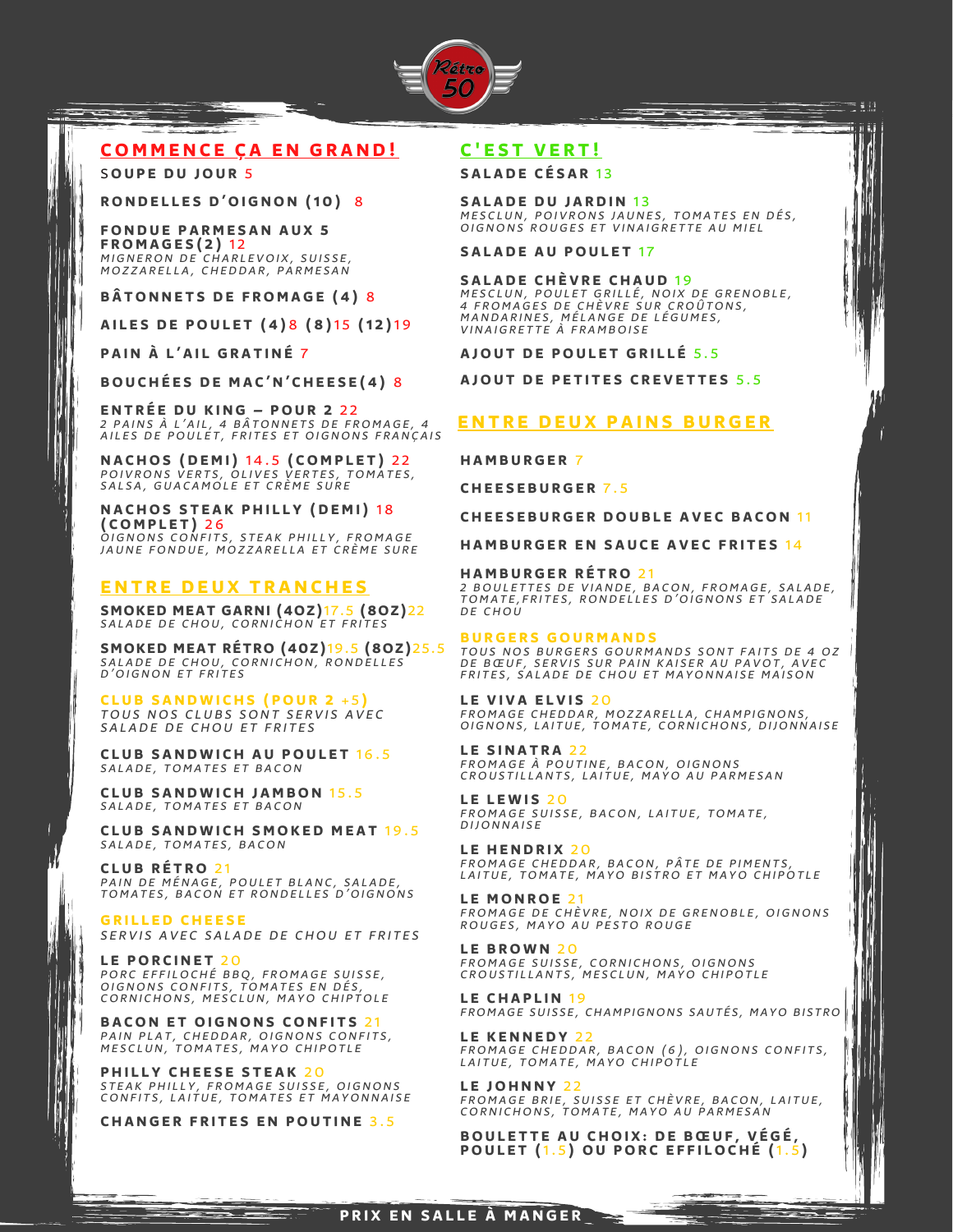

# **COMME N C E Ç A E N G R A N D !**

S**OU P E D U JOU R** 5

**RONDELLES D'OIGNON (10) 8** 

**FONDUE PARMESAN AUX 5 F ROMA G E S ( 2 )** 1 2 MIGNERON DE CHARLEVOIX, SUISSE, MOZZARELLA, CHEDDAR, PARMESAN

**B Â TON N E T S D E F ROMA G E ( 4 )** 8

**A I L E S D E POU L E T ( 4 )** 8 **( 8 )**1 5 **(1 2 )**1 9

**P A I N À L ' A I L G R A T I N É** 7

**BOU C H É E S D E MA C ' N ' C H E E S E ( 4 )** 8

**E N T R É E D U K I N G – POU R 2** 2 2 2 PAINS À L'AIL, 4 BĂTONNETS DE FROMAGE, 4<br>AILES DE POULET, FRITES ET OIGNONS FRANÇAIS

**N A C HOS ( D EMI)** 1 4 . 5 **( COMP L E T )** 2 2 POI V RON S V E R T S , OLI V E S V E R T E S , TOMA T E S , SALSA, GUACAMOLE ET CRÈME SURE

 $N$  **ACHOS** STEAK PHILLY (DEMI) 18 **( COMP L E T )** 2 6 OIGNONS CONFITS, STEAK PHILLY, FROMAGE JAUNE FONDUE, MOZZARELLA ET CRÈME SURE

## **ENTRE DEUX TRANCHES**

**SMOKED MEAT GARNI (4OZ)**17.5 **(8OZ)**22 SALADE DE CHOU, CORNICHON ET FRITES

**SMOKED MEAT RÉTRO (40Z)**19.5 **(8OZ)**25.5 SALADE DE CHOU, CORNICHON, RONDELLES<br>D'OIGNON ET FRITES

**C L U B S A N DWI C H S ( POU R 2** + 5 **)** TOUS NOS CLUBS SONT SERVIS AVEC SALADE DE CHOU ET FRITES

**C L U B S A N DWI C H A U POU L E T** 1 6 . 5 SALADE, TOMATES ET BACON

**C L U B S A N DWI C H J AMBON** 1 5 . 5 SALADE, TOMATES ET BACON

**C L U B S A N DWI C H SMOK E D ME A T** 1 9 . 5 SALADE, TOMATES, BACON

**C L U B R É T RO** 2 1 PAIN DE MÉNAGE, POULET BLANC, SALADE, TOMATES, BACON ET RONDELLES D'OIGNONS

**G R I L L E D C H E E S E** SERVIS AVEC SALADE DE CHOU ET FRITES

**LE PORCINET 20**<br>PORC EFFILOCHÉ BBQ, FROMAGE SUISSE,<br>OIGNONS CONFITS, TOMATES EN DÉS,<br>CORNICHONS, MESCLUN, MAYO CHIPTOLE

**BACON ET OIGNONS CONFITS 21** PAIN PLAT, CHEDDAR, OIGNONS CONFITS,<br>MESCLUN, TOMATES, MAYO CHIPOTLE

**P H I L L Y C H E E S E S T E A K** 2 0 STEAK PHILLY, FROMAGE SUISSE, OIGNONS<br>CONFITS, LAITUE, TOMATES ET MAYONNAISE

**C H A N G E R F R I T E S E N POU T I N E** 3 . 5

# **C ' E S T V E R T !**

**S A L A D E C É S A R** 1 3

**S A L A D E D U J A R D I N** 1 3 MESCLUN, POIVRONS JAUNES, TOMATES EN DES,<br>OIGNONS ROUGES ET VINAIGRETTE AU MIEL t W

**S A L A D E A U POU L E T** 1 7

### **S A L A D E C H È V R E C H A U D** 1 9

MESCLUN, POULET GRILLE, NOIX DE GRENOBLE,<br>4 FROMAGES DE CHÈVRE SUR CROÛTONS,<br>MANDARINES, MÉLANGE DE LÉGUMES,<br>VINAIGRETTE À FRAMBOISE

**A JOU T D E POU L E T G R I L L É** 5 . 5

**A JOU T D E P E T I T E S C R E V E T T E S** 5 . 5

### **E N T R E D E U X P A I N S B U R G E R**

**H AMB U R G E R** 7

**C H E E S E B U R G E R** 7 . 5

**C H E E S E B U R G E R DOU B L E A V E C B A CON** 11

**HAMBURGER EN SAUCE AVEC FRITES 14** 

#### **H AMB U R G E R R É T RO** 2 1

2 BOULETTES DE VIANDE, BACON, FROMAGE, SALADE, TOMA TE, FRITES, RONDELLES D'OIGNONS ET SALADE DE CHOU

#### **B U R G E R S GOU RMA N D S**

TOUS NOS BURGERS GOURMANDS SONT FAITS DE 4 OZ DE BŒUF, SERVIS SUR PAIN KAISER AU PAVOT, AVEC<br>FRITES, SALADE DE CHOU ET MAYONNAISE MAISON

**L E V I V A E L V I S** 2 0 FROMAGE CHEDDAR, MOZZARELLA, CHAMPIGNONS,<br>OIGNONS, LAITUE, TOMATE, CORNICHONS, DIJONNAISE

**L E S I N A T R A** 2 2 FROMAGE À POUTINE, BACON, OIGNONS CROUSTILLANTS, LAITUE, MAYO AU PARMESAN

**L E L EWI S** 2 0 FROMAGE SUISSE, BACON, LAITUE, TOMATE, **DIJONNAISE** 

**LE HENDRIX 20** FROMAGE CHEDDAR, BACON, PÂTE DE PIMENTS, LAITUE, TOMATE, MAYO BISTRO ET MAYO CHIPOTLE

**LE MONROE 2** FROMAGE DE CHÈVRE, NOIX DE GRENOBLE, OIGNONS ROUGES, MAYO AU PESTO ROUGE

**L E B ROWN** 2 0 FROMAGE SUISSE, CORNICHONS, OIGNONS<br>CROUSTILLANTS, MESCLUN, MAYO CHIPOTLE

**L E C H A P L I N** 1 9 FROMAGE SUISSE, CHAMPIGNONS SAUTÉS, MAYO BISTRO

**L E K E N N E D Y** 2 2 FROMAGE CHEDDAR, BACON (6), OIGNONS CONFITS, LAITUE, TOMATE, MAYO CHIPOTLE

**L E JOH N N Y** 2 2 FROMAGE BRIE, SUISSE ET CHÈVRE, BACON, LAITUE, CORNICHONS, TOMATE, MAYO AU PARMESAN

 $\overline{\phantom{a}}$ 

**BOU L E T T E A U C HOI X : D E B Œ U F , V É G É , POU L E T (**1. 5 **) OU POR C E F F I LOC H É (**1. 5 **)**

## **P R I X E N S A L L E À MA N G E R**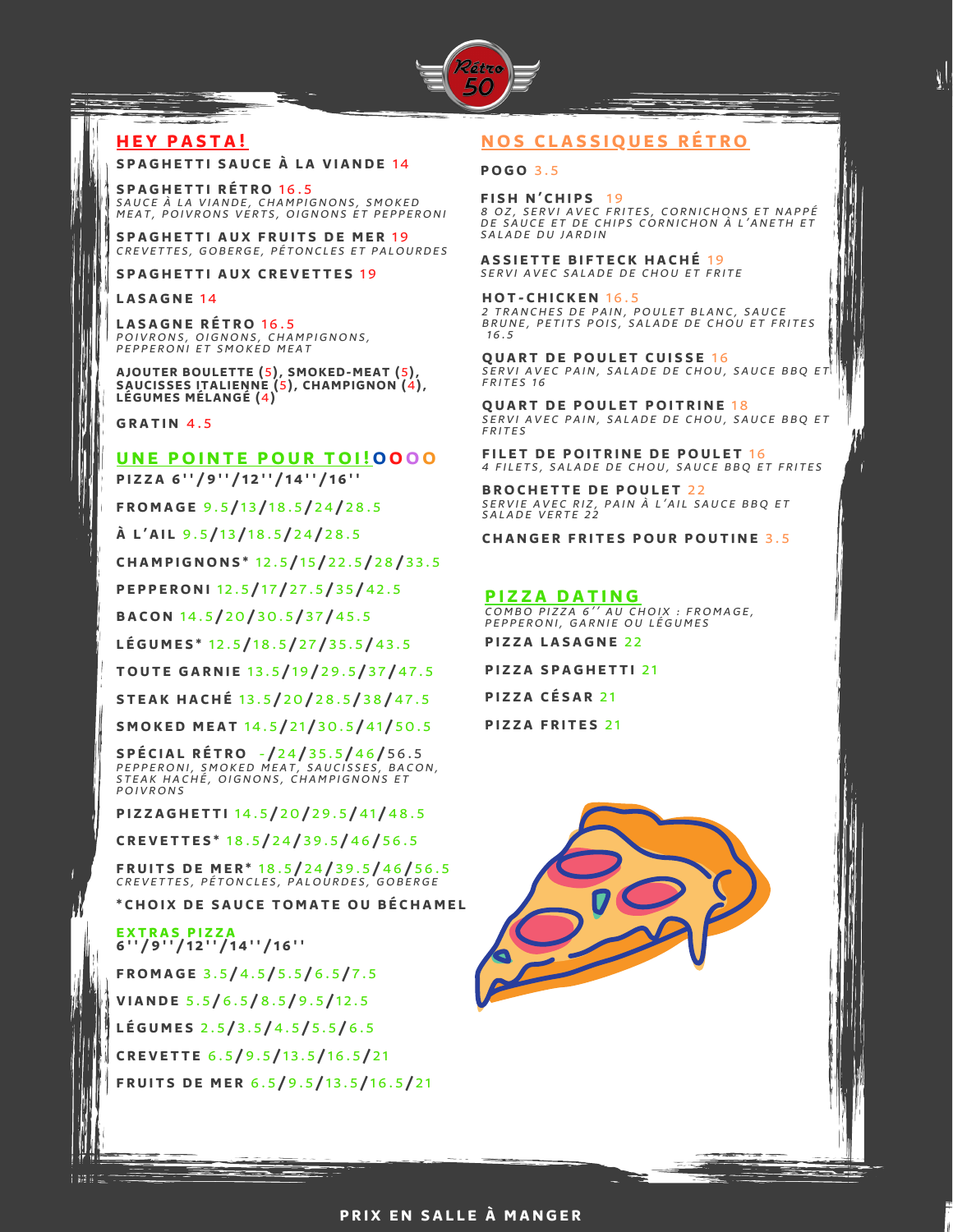

## **H E Y P A S T A !**

### **S P A G H E T T I S A U C E À L A V I A N D E** 1 4

**S P A G H E T T I R É T RO** 1 6 . 5 SAUCE À LA VIANDE, CHAMPIGNONS, SMOKED MEAT, POIVRONS VERTS, OIGNONS ET PEPPERONI

**S P A G H E T T I A U X F R U I T S D E ME R** 1 9 CREVETTES, GOBERGE, PÉTONCLES ET PALOURDES

**S P A G H E T T I A U X C R E V E T T E S** 1 9

#### **L A S A G N E** 1 4

**L A S A G N E R É T RO** 1 6 . 5 POIVRONS, OIGNONS, CHAMPIGNONS, PEPPERONI ET SMOKED MEAT

**AJOUTER BOULETTE (**5**), SMOKED-MEAT (**5**), SAUCISSES ITALIENNE (**5**), CHAMPIGNON (**4**), LÉGUMES MÉLANGÉ (**4**)**

**G R A T I N** 4 . 5

### **U N E POI N T E POU R TOI !OOOO**

PIZZA 6"/9"/12"/14"/16"

**F ROMA G E** 9 . 5 **/** 1 3 **/** 1 8 . 5 **/** 2 4 **/** 2 8 . 5

**À L ' A I L** 9 . 5 **/** 1 3 **/** 1 8 . 5 **/** 2 4 **/** 2 8 . 5

**C H AMP I G NON S \*** 1 2 . 5 **/** 1 5 **/** 2 2 . 5 **/** 2 8 **/** 3 3 . 5

**P E P P E RON I** 1 2 . 5 **/** 1 7 **/** 2 7 . 5 **/** 3 5 **/** 4 2 . 5

**B A CON** 1 4 . 5 **/** 2 0 **/** 3 0 . 5 **/** 3 7 **/** 4 5 . 5

**L É G UME S \*** 1 2 . 5 **/** 1 8 . 5 **/** 2 7 **/** 3 5 . 5 **/** 4 3 . 5

**TOU T E G A R N I E** 1 3 . 5 **/** 1 9 **/** 2 9 . 5 **/** 3 7 **/** 4 7 . 5

**S T E A K H A C H É** 1 3 . 5 **/** 2 0 **/** 2 8 . 5 **/** 3 8 **/** 4 7 . 5

**SMOK E D ME A T** 1 4 . 5 **/** 2 1 **/** 3 0 . 5 **/** 4 1 **/** 5 0 . 5

**S P É C I A L R É T RO** - **/** 2 4 **/** 3 5 . 5 **/** 4 6 **/** 5 6 . 5 PEPPERONI, SMOKED MEAT, SAUCISSES, BACON, STEAK HACHÉ, OIGNONS, CHAMPIGNONS ET **POIVRONS** 

**P I Z Z A G H E T T I** 1 4 . 5 **/** 2 0 **/** 2 9 . 5 **/** 4 1 **/** 4 8 . 5

**C R E V E T T E S \*** 1 8 . 5 **/** 2 4 **/** 3 9 . 5 **/** 4 6 **/** 5 6 . 5

**F R U I T S D E ME R \*** 1 8 . 5 **/** 2 4 **/** 3 9 . 5 **/** 4 6 **/** 5 6 . 5 CREVETTES, PÉTONCLES, PALOURDES, GOBERGE

**\* C HOI X D E S A U C E TOMA T E OU B É C H AME L**

**E X T R A S P I Z Z A 6 ' ' / 9 ' ' / 1 2 ' ' / 1 4 ' ' / 1 6 ' '**

**F ROMA G E** 3 . 5 **/** 4 . 5 **/** 5 . 5 **/** 6 . 5 **/** 7 . 5 **V I A N D E** 5 . 5 **/** 6 . 5 **/** 8 . 5 **/** 9 . 5 **/** 1 2 . 5 **L É G UME S** 2 . 5 **/** 3 . 5 **/** 4 . 5 **/** 5 . 5 **/** 6 . 5 **C R E V E T T E** 6 . 5 **/** 9 . 5 **/** 1 3 . 5 **/** 1 6 . 5 **/** 2 1 **F R U I T S D E ME R** 6 . 5 **/** 9 . 5 **/** 1 3 . 5 **/** 1 6 . 5 **/** 2 1

## **NOS C L A S S IQU E S R É T RO**

**POGO** 3 . 5

**F I S H N ' C H I P S** 1 9 8 OZ, SERVI AVEC FRITES, CORNICHONS ET NAPPE<br>DE SAUCE ET DE CHIPS CORNICHON À L'ANETH ET<br>. SALADE DU JARDIN

**A S S I E T T E B I F T E C K H A C H É** 1 9 SERVI AVEC SALADE DE CHOU ET FRITE

**HOT - C H I C K E N** 1 6 . 5 TRANCHES DE PAIN, POULET BLANC, SAUCE BRUNE, PETITS POIS, SALADE DE CHOU ET FRITES  $16.5$ 

**QUART DE POULET CUISSE 16** SERVI AVEC PAIN, SALADE DE CHOU, SAUCE BBQ ET FRITES 16

**QUART DE POULET POITRINE 18** SERVI AVEC PAIN, SALADE DE CHOU, SAUCE BBO ET **FRITES** 

**F I L E T D E POI T R I N E D E POU L E T** 1 6 4 FILETS, SALADE DE CHOU, SAUCE BBQ ET FRITES

**B ROC H E T T E D E POU L E T** 2 2 SERVIE AVEC RIZ, PAIN À L'AIL SAUCE BBQ ET<br>SALADE VERTE 22

**C H A N G E R F R I T E S POU R POU T I N E** 3 . 5

#### **P I Z Z A D A T I N G**

**P I Z Z A L A S A G N E** 2 2 COMBO PIZZA 6" AU CHOIX : FROMAGE, PEPPERONI, GARNIE OU LÉGUMES

**P I Z Z A S P A G H E T T I** 2 1

**P I Z Z A C É S A R** 2 1

**P I Z Z A F R I T E S** 2 1

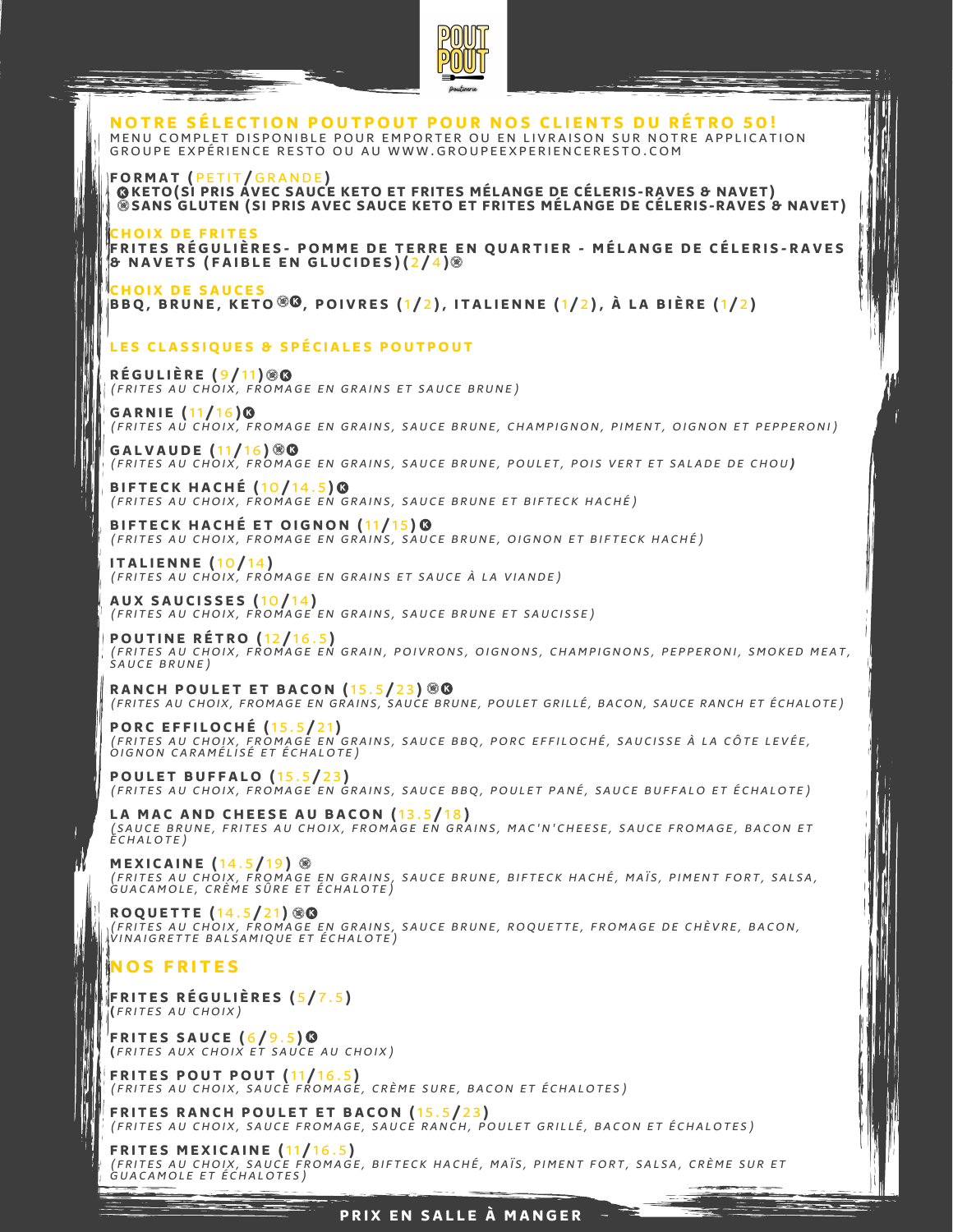

NOTRE SÉLECTION POUTPOUT POUR NOS CLIENTS DU RÉTRO 50! MENU COMPLET DISPONIBLE POUR EMPORTER OU EN LIVRAISON SUR NOTRE APPLICATION GROUPE EXPÉRIENCE RESTO OU AU WWW.GROUPEEXPERIENCERESTO.COM

**FORMA T (** P E T I T **/** G R A N D E **) KETO(SI PRIS AVEC SAUCE KETO ET FRITES MÉLANGE DE CÉLERIS-RAVES & NAVET) SANS GLUTEN (SI PRIS AVEC SAUCE KETO ET FRITES MÉLANGE DE CÉLERIS-RAVES & NAVET)**

**C HOI X D E F R I T E S** FRITES RÉGULIÈRES - POMME DE TERRE EN QUARTIER - MÉLANGE DE CÉLERIS-RAVES B NAVETS (FAIBLE EN GLUCIDES)(2/4).

**C HOI X D E S A U C E S** BBQ, BRUNE, KETO  $\mathscr{B}$ , POIVRES (1/2), ITALIENNE (1/2), À LA BIÈRE (1/2)

### LES CLASSIQUES & SPÉCIALES POUTPOUT

**R É G U L I È R E (** 9 **/** 11**)** (FRITES AU CHOIX, FROMAGE EN GRAINS ET SAUCE BRUNE)

**G A R N I E (**11 **/** 1 6 **)** (FRITES AU CHOIX, FROMAGE EN GRAINS, SAUCE BRUNE, CHAMPIGNON, PIMENT, OIGNON ET PEPPERONI)

**G A L V A U D E (**11 **/** 1 6 **)** (FRITES AU CHOIX, FROMAGE EN GRAINS, SAUCE BRUNE, POULET, POIS VERT ET SALADE DE CHOU)

**B I F T E C K H A C H É (**1 0 **/** 1 4 . 5 **)** ( FRITES AU CHOIX, FROMAGE EN GRAINS, SAUCE BRUNE ET BIFTECK HACHÉ)

**BIFTECK HACHÉ ET OIGNON (11/15) <sup>®</sup>** (FRITES AU CHOIX, FROMAGE EN GRAINS, SAUCE BRUNE, OIGNON ET BIFTECK HACHÉ)

**I T A L I E N N E (**1 0 **/** 1 4 **)** (FRITES AU CHOIX, FROMAGE EN GRAINS ET SAUCE À LA VIANDE)

**A U X S A U C I S S E S (**1 0 **/** 1 4 **)** (FRITES AU CHOIX, FROMAGE EN GRAINS, SAUCE BRUNE ET SAUCISSE)

**POU T I N E R É T RO (**1 2 **/** 1 6 . 5 **)** (FRITES AU CHOIX, FROMAGE EN GRAIN, POIVRONS, OIGNONS, CHAMPIGNONS, PEPPERONI, SMOKED MEAT, SAUCE BRUNE)

**RANCH POULET ET BACON (15.5/23) 80** (FRITES AU CHOIX, FROMAGE EN GRAINS, SAUCE BRUNE, POULET GRILLÉ, BACON, SAUCE RANCH ET ÉCHALOTE)

**PORC EFFILOCHÉ (15.5/21)**<br>(FRITES AU CHOIX, FROMAGE EN GRAINS, SAUCE BBQ, PORC EFFILOCHÉ, SAUCISSE À LA CÔTE LEVÉE, OIGNON CARAMÉLISÉ ET ÉCHALOTE)

**POULET BUFFALO** (15.5/23) (FRITES AU CHOIX, FROMAGE EN GRAINS, SAUCE BBQ, POULET PANÉ, SAUCE BUFFALO ET ÉCHALOTE)

**L A MA C A N D C H E E S E A U B A CON (**1 3 . 5 **/** 1 8 **)** (SAUCE BRUNE, FRITES AU CHOIX, FROMAGE EN GRAINS, MAC'N'CHEESE, SAUCE FROMAGE, BACON ET<br>ÉCHALOTE)

**MEXICAINE (**14.5**/**19**)** ®<br>(FRITES AU CHOIX, FROMAGE EN GRAINS, SAUCE BRUNE, BIFTECK HACHÉ, MAÏS, PIMENT FORT, SALSA,<br>GUACAMOLE, CRÈME SÛRE ET ÉCHALOTE)

**ROQUETTE**  $(14.5/21)$  @**@** (FRITES AU CHOIX, FROMAGE EN GRAINS, SAUCE BRUNE, ROQUETTE, FROMAGE DE CHÈVRE, BACON,<br>VINAIGRETTE BALSAMIQUE ET ÉCHALOTE)

# **NOS F R I T E S**

**F R I T E S R É G U L I È R E S (** 5 **/** 7 . 5 **) (** F R I T E S A U C HOI X )

**F R I T E S S A U C E (** 6 **/** 9 . 5 **) (** F R I T E S A U X C HOI X E T S A U C E A U C HOI X )

**F R I T E S POU T POU T (**11 **/** 1 6 . 5 **)** (FRITES AU CHOIX, SAUCE FROMAGE, CRÈME SURE, BACON ET ÉCHALOTES)

**F R I T E S R A N C H POU L E T E T B A CON (**1 5 . 5 **/** 2 3 **)** (FRITES AU CHOIX, SAUCE FROMAGE, SAUCE RANCH, POULET GRILLÉ, BACON ET ÉCHALOTES)

**FRITES MEXICAINE (11/1**6.5**)**<br>(frites au choix, sauce fromage, bifteck haché, maïs, piment fort, salsa, crème sur et<br>GUACAMOLE ET ÉCHALOTES)

**P R I X E N S A L L E À MA N G E R**